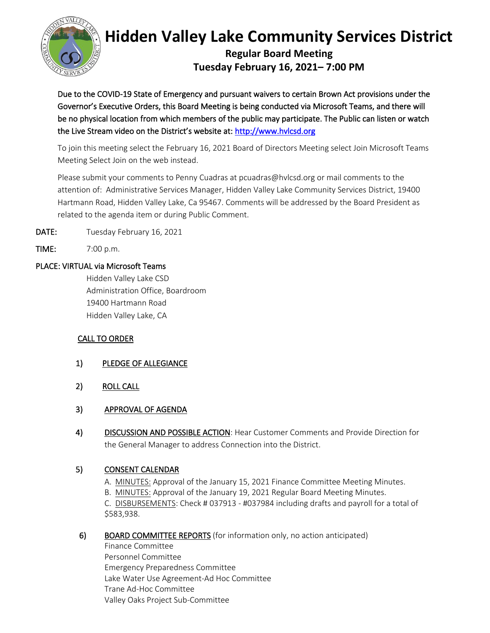

# **Hidden Valley Lake Community Services District**

**Regular Board Meeting Tuesday February 16, 2021– 7:00 PM**

Due to the COVID-19 State of Emergency and pursuant waivers to certain Brown Act provisions under the Governor's Executive Orders, this Board Meeting is being conducted via Microsoft Teams, and there will be no physical location from which members of the public may participate. The Public can listen or watch the Live Stream video on the District's website at: [http://www.hvlcsd.org](http://www.hvlcsd.org/) 

To join this meeting select the February 16, 2021 Board of Directors Meeting select Join Microsoft Teams Meeting Select Join on the web instead.

Please submit your comments to Penny Cuadras at pcuadras@hvlcsd.org or mail comments to the attention of: Administrative Services Manager, Hidden Valley Lake Community Services District, 19400 Hartmann Road, Hidden Valley Lake, Ca 95467. Comments will be addressed by the Board President as related to the agenda item or during Public Comment.

DATE: Tuesday February 16, 2021

TIME: 7:00 p.m.

#### PLACE: VIRTUAL via Microsoft Teams

Hidden Valley Lake CSD Administration Office, Boardroom 19400 Hartmann Road Hidden Valley Lake, CA

# CALL TO ORDER

- 1) PLEDGE OF ALLEGIANCE
- 2) ROLL CALL

# 3) APPROVAL OF AGENDA

4) DISCUSSION AND POSSIBLE ACTION: Hear Customer Comments and Provide Direction for the General Manager to address Connection into the District.

# 5) CONSENT CALENDAR

- A. MINUTES: Approval of the January 15, 2021 Finance Committee Meeting Minutes.
- B. MINUTES: Approval of the January 19, 2021 Regular Board Meeting Minutes.

C. DISBURSEMENTS: Check # 037913 - #037984 including drafts and payroll for a total of \$583,938.

# 6) BOARD COMMITTEE REPORTS (for information only, no action anticipated)

Finance Committee Personnel Committee Emergency Preparedness Committee Lake Water Use Agreement-Ad Hoc Committee Trane Ad-Hoc Committee Valley Oaks Project Sub-Committee